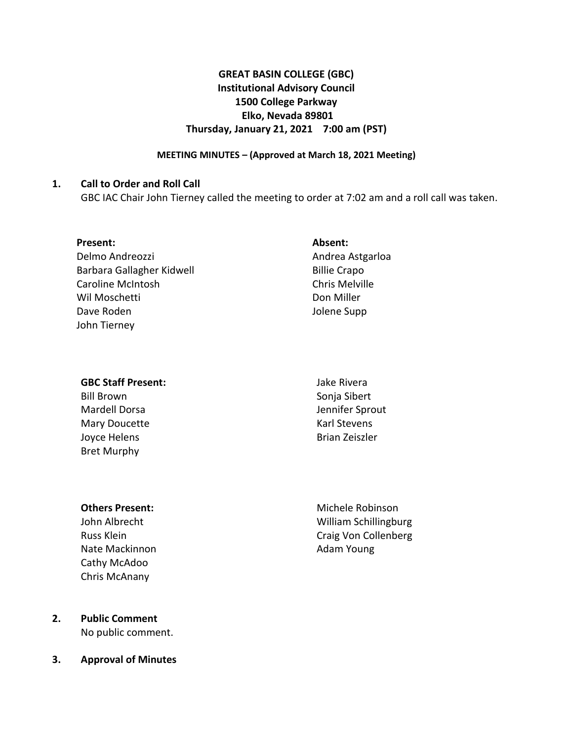# **GREAT BASIN COLLEGE (GBC) Institutional Advisory Council 1500 College Parkway Elko, Nevada 89801 Thursday, January 21, 2021 7:00 am (PST)**

### **MEETING MINUTES – (Approved at March 18, 2021 Meeting)**

### **1. Call to Order and Roll Call**

GBC IAC Chair John Tierney called the meeting to order at 7:02 am and a roll call was taken.

| Present: |
|----------|
|----------|

Delmo Andreozzi Barbara Gallagher Kidwell Caroline McIntosh Wil Moschetti Dave Roden John Tierney

## **Absent:**

Andrea Astgarloa Billie Crapo Chris Melville Don Miller Jolene Supp

#### **GBC Staff Present:**

Bill Brown Mardell Dorsa Mary Doucette Joyce Helens Bret Murphy

Jake Rivera Sonja Sibert Jennifer Sprout Karl Stevens Brian Zeiszler

#### **Others Present:**

John Albrecht Russ Klein Nate Mackinnon Cathy McAdoo Chris McAnany

Michele Robinson William Schillingburg Craig Von Collenberg Adam Young

## **2. Public Comment** No public comment.

**3. Approval of Minutes**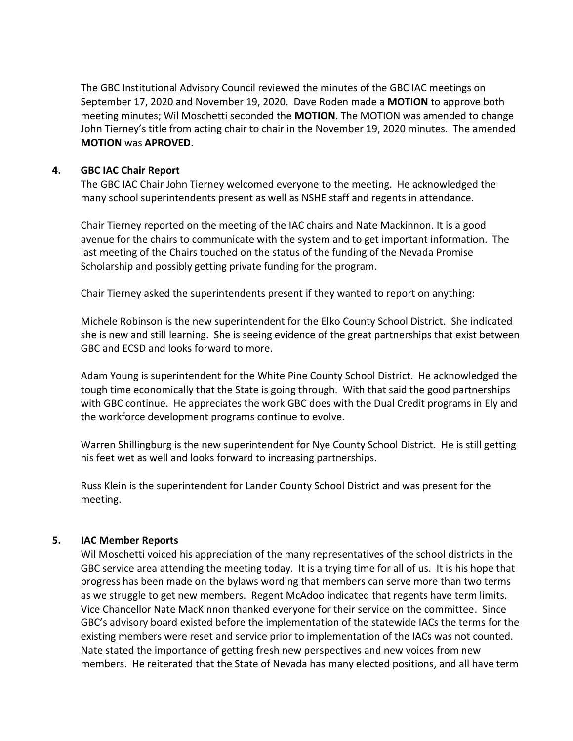The GBC Institutional Advisory Council reviewed the minutes of the GBC IAC meetings on September 17, 2020 and November 19, 2020. Dave Roden made a **MOTION** to approve both meeting minutes; Wil Moschetti seconded the **MOTION**. The MOTION was amended to change John Tierney's title from acting chair to chair in the November 19, 2020 minutes. The amended **MOTION** was **APROVED**.

## **4. GBC IAC Chair Report**

The GBC IAC Chair John Tierney welcomed everyone to the meeting. He acknowledged the many school superintendents present as well as NSHE staff and regents in attendance.

Chair Tierney reported on the meeting of the IAC chairs and Nate Mackinnon. It is a good avenue for the chairs to communicate with the system and to get important information. The last meeting of the Chairs touched on the status of the funding of the Nevada Promise Scholarship and possibly getting private funding for the program.

Chair Tierney asked the superintendents present if they wanted to report on anything:

Michele Robinson is the new superintendent for the Elko County School District. She indicated she is new and still learning. She is seeing evidence of the great partnerships that exist between GBC and ECSD and looks forward to more.

Adam Young is superintendent for the White Pine County School District. He acknowledged the tough time economically that the State is going through. With that said the good partnerships with GBC continue. He appreciates the work GBC does with the Dual Credit programs in Ely and the workforce development programs continue to evolve.

Warren Shillingburg is the new superintendent for Nye County School District. He is still getting his feet wet as well and looks forward to increasing partnerships.

Russ Klein is the superintendent for Lander County School District and was present for the meeting.

# **5. IAC Member Reports**

Wil Moschetti voiced his appreciation of the many representatives of the school districts in the GBC service area attending the meeting today. It is a trying time for all of us. It is his hope that progress has been made on the bylaws wording that members can serve more than two terms as we struggle to get new members. Regent McAdoo indicated that regents have term limits. Vice Chancellor Nate MacKinnon thanked everyone for their service on the committee. Since GBC's advisory board existed before the implementation of the statewide IACs the terms for the existing members were reset and service prior to implementation of the IACs was not counted. Nate stated the importance of getting fresh new perspectives and new voices from new members. He reiterated that the State of Nevada has many elected positions, and all have term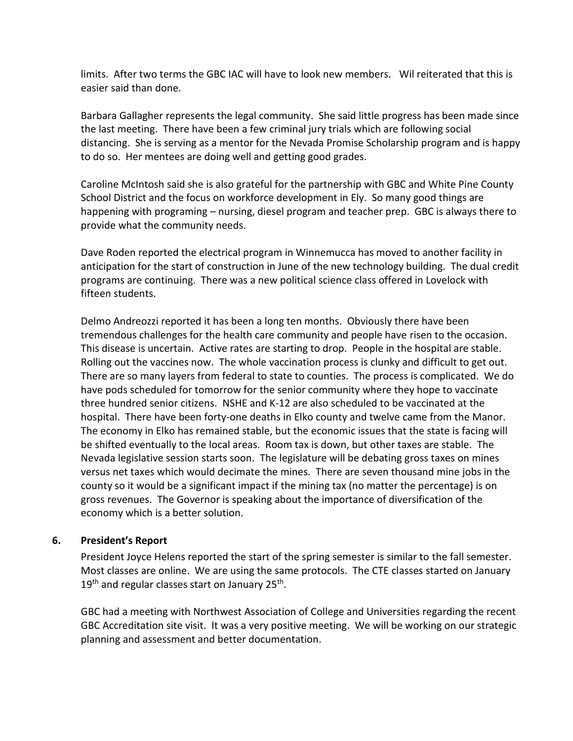limits. After two terms the GBC IAC will have to look new members. Wil reiterated that this is easier said than done.

Barbara Gallagher represents the legal community. She said little progress has been made since the last meeting. There have been a few criminal jury trials which are following social distancing. She is serving as a mentor for the Nevada Promise Scholarship program and is happy to do so. Her mentees are doing well and getting good grades.

Caroline McIntosh said she is also grateful for the partnership with GBC and White Pine County School District and the focus on workforce development in Ely. So many good things are happening with programing – nursing, diesel program and teacher prep. GBC is always there to provide what the community needs.

Dave Roden reported the electrical program in Winnemucca has moved to another facility in anticipation for the start of construction in June of the new technology building. The dual credit programs are continuing. There was a new political science class offered in Lovelock with fifteen students.

Delmo Andreozzi reported it has been a long ten months. Obviously there have been tremendous challenges for the health care community and people have risen to the occasion. This disease is uncertain. Active rates are starting to drop. People in the hospital are stable. Rolling out the vaccines now. The whole vaccination process is clunky and difficult to get out. There are so many layers from federal to state to counties. The process is complicated. We do have pods scheduled for tomorrow for the senior community where they hope to vaccinate three hundred senior citizens. NSHE and K-12 are also scheduled to be vaccinated at the hospital. There have been forty-one deaths in Elko county and twelve came from the Manor. The economy in Elko has remained stable, but the economic issues that the state is facing will be shifted eventually to the local areas. Room tax is down, but other taxes are stable. The Nevada legislative session starts soon. The legislature will be debating gross taxes on mines versus net taxes which would decimate the mines. There are seven thousand mine jobs in the county so it would be a significant impact if the mining tax (no matter the percentage) is on gross revenues. The Governor is speaking about the importance of diversification of the economy which is a better solution.

# **6. President's Report**

President Joyce Helens reported the start of the spring semester is similar to the fall semester. Most classes are online. We are using the same protocols. The CTE classes started on January 19<sup>th</sup> and regular classes start on January 25<sup>th</sup>.

GBC had a meeting with Northwest Association of College and Universities regarding the recent GBC Accreditation site visit. It was a very positive meeting. We will be working on our strategic planning and assessment and better documentation.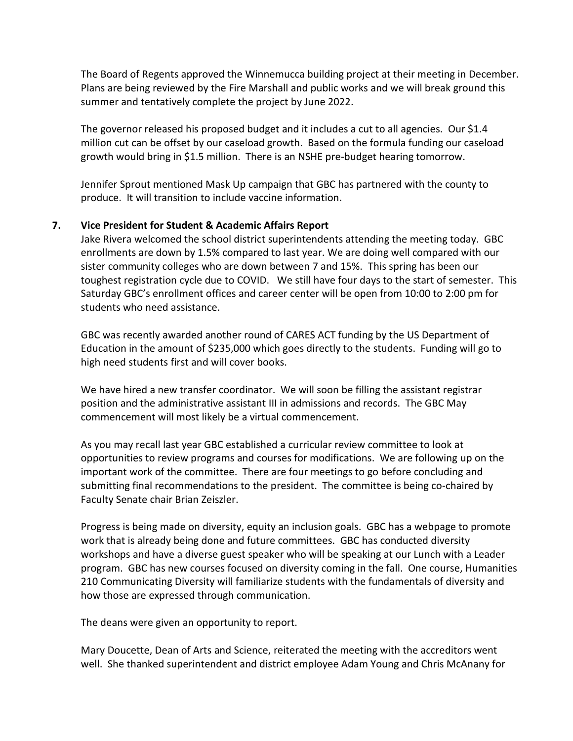The Board of Regents approved the Winnemucca building project at their meeting in December. Plans are being reviewed by the Fire Marshall and public works and we will break ground this summer and tentatively complete the project by June 2022.

The governor released his proposed budget and it includes a cut to all agencies. Our \$1.4 million cut can be offset by our caseload growth. Based on the formula funding our caseload growth would bring in \$1.5 million. There is an NSHE pre-budget hearing tomorrow.

Jennifer Sprout mentioned Mask Up campaign that GBC has partnered with the county to produce. It will transition to include vaccine information.

## **7. Vice President for Student & Academic Affairs Report**

Jake Rivera welcomed the school district superintendents attending the meeting today. GBC enrollments are down by 1.5% compared to last year. We are doing well compared with our sister community colleges who are down between 7 and 15%. This spring has been our toughest registration cycle due to COVID. We still have four days to the start of semester. This Saturday GBC's enrollment offices and career center will be open from 10:00 to 2:00 pm for students who need assistance.

GBC was recently awarded another round of CARES ACT funding by the US Department of Education in the amount of \$235,000 which goes directly to the students. Funding will go to high need students first and will cover books.

We have hired a new transfer coordinator. We will soon be filling the assistant registrar position and the administrative assistant III in admissions and records. The GBC May commencement will most likely be a virtual commencement.

As you may recall last year GBC established a curricular review committee to look at opportunities to review programs and courses for modifications. We are following up on the important work of the committee. There are four meetings to go before concluding and submitting final recommendations to the president. The committee is being co-chaired by Faculty Senate chair Brian Zeiszler.

Progress is being made on diversity, equity an inclusion goals. GBC has a webpage to promote work that is already being done and future committees. GBC has conducted diversity workshops and have a diverse guest speaker who will be speaking at our Lunch with a Leader program. GBC has new courses focused on diversity coming in the fall. One course, Humanities 210 Communicating Diversity will familiarize students with the fundamentals of diversity and how those are expressed through communication.

The deans were given an opportunity to report.

Mary Doucette, Dean of Arts and Science, reiterated the meeting with the accreditors went well. She thanked superintendent and district employee Adam Young and Chris McAnany for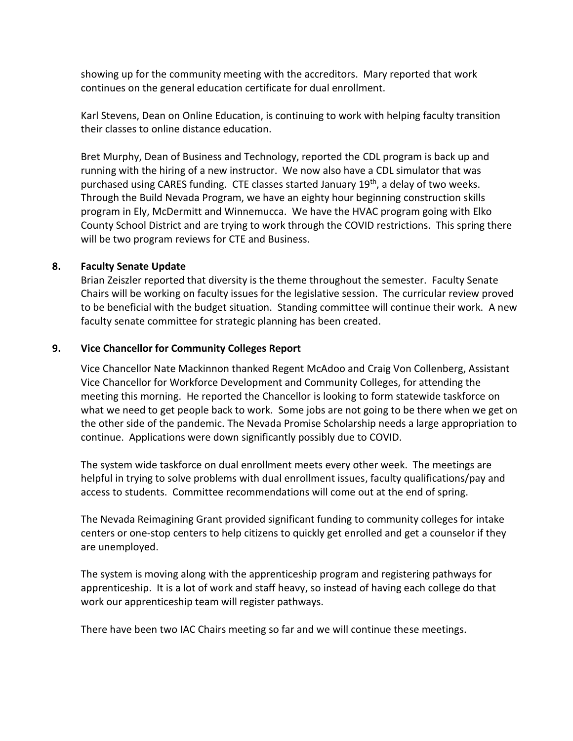showing up for the community meeting with the accreditors. Mary reported that work continues on the general education certificate for dual enrollment.

Karl Stevens, Dean on Online Education, is continuing to work with helping faculty transition their classes to online distance education.

Bret Murphy, Dean of Business and Technology, reported the CDL program is back up and running with the hiring of a new instructor. We now also have a CDL simulator that was purchased using CARES funding. CTE classes started January 19th, a delay of two weeks. Through the Build Nevada Program, we have an eighty hour beginning construction skills program in Ely, McDermitt and Winnemucca. We have the HVAC program going with Elko County School District and are trying to work through the COVID restrictions. This spring there will be two program reviews for CTE and Business.

## **8. Faculty Senate Update**

Brian Zeiszler reported that diversity is the theme throughout the semester. Faculty Senate Chairs will be working on faculty issues for the legislative session. The curricular review proved to be beneficial with the budget situation. Standing committee will continue their work. A new faculty senate committee for strategic planning has been created.

## **9. Vice Chancellor for Community Colleges Report**

Vice Chancellor Nate Mackinnon thanked Regent McAdoo and Craig Von Collenberg, Assistant Vice Chancellor for Workforce Development and Community Colleges, for attending the meeting this morning. He reported the Chancellor is looking to form statewide taskforce on what we need to get people back to work. Some jobs are not going to be there when we get on the other side of the pandemic. The Nevada Promise Scholarship needs a large appropriation to continue. Applications were down significantly possibly due to COVID.

The system wide taskforce on dual enrollment meets every other week. The meetings are helpful in trying to solve problems with dual enrollment issues, faculty qualifications/pay and access to students. Committee recommendations will come out at the end of spring.

The Nevada Reimagining Grant provided significant funding to community colleges for intake centers or one-stop centers to help citizens to quickly get enrolled and get a counselor if they are unemployed.

The system is moving along with the apprenticeship program and registering pathways for apprenticeship. It is a lot of work and staff heavy, so instead of having each college do that work our apprenticeship team will register pathways.

There have been two IAC Chairs meeting so far and we will continue these meetings.